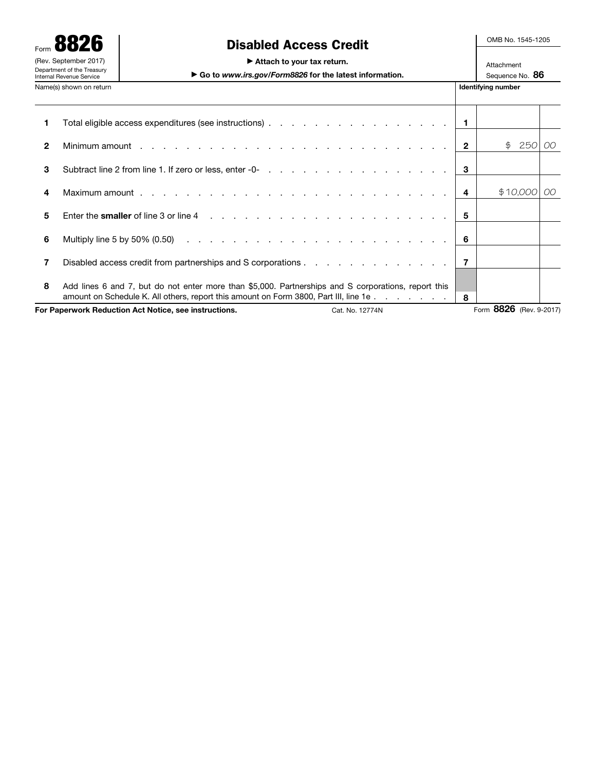|                                                                                 | Form 8826               |                                                                                                                                                                                             |                           | OMB No. 1545-1205             |     |
|---------------------------------------------------------------------------------|-------------------------|---------------------------------------------------------------------------------------------------------------------------------------------------------------------------------------------|---------------------------|-------------------------------|-----|
| (Rev. September 2017)<br>Department of the Treasury<br>Internal Revenue Service |                         | <b>Disabled Access Credit</b><br>Attach to your tax return.<br>Go to www.irs.gov/Form8826 for the latest information.                                                                       |                           | Attachment<br>Sequence No. 86 |     |
|                                                                                 | Name(s) shown on return |                                                                                                                                                                                             | <b>Identifying number</b> |                               |     |
| 1                                                                               |                         |                                                                                                                                                                                             | $\blacksquare$            |                               |     |
| 2                                                                               |                         |                                                                                                                                                                                             | $\overline{2}$            | 250<br>\$                     | OO. |
| 3                                                                               |                         |                                                                                                                                                                                             | 3                         |                               |     |
| 4                                                                               |                         |                                                                                                                                                                                             | 4                         | \$10,000                      | OO  |
| 5                                                                               |                         |                                                                                                                                                                                             | 5                         |                               |     |
| 6                                                                               |                         |                                                                                                                                                                                             | -6                        |                               |     |
|                                                                                 |                         |                                                                                                                                                                                             | $\overline{7}$            |                               |     |
| 8                                                                               |                         | Add lines 6 and 7, but do not enter more than \$5,000. Partnerships and S corporations, report this<br>amount on Schedule K. All others, report this amount on Form 3800, Part III, line 1e | 8                         |                               |     |
| For Paperwork Reduction Act Notice, see instructions.<br>Cat. No. 12774N        |                         |                                                                                                                                                                                             |                           | Form 8826 (Rev. 9-2017)       |     |